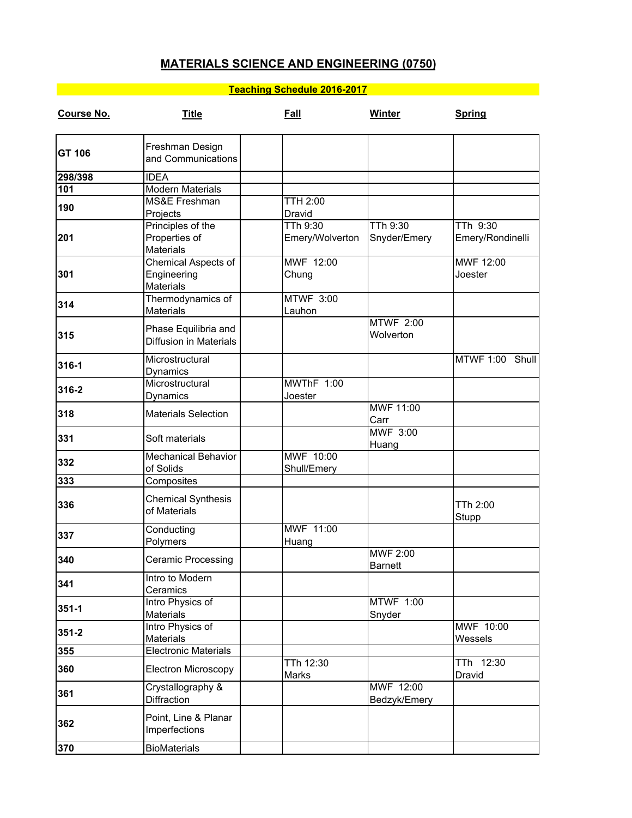## **MATERIALS SCIENCE AND ENGINEERING (0750)**

## **Teaching Schedule 2016-2017**

| <b>Course No.</b> | <b>Title</b>                                           | <b>Fall</b>                 | <b>Winter</b>                 | <b>Spring</b>                |
|-------------------|--------------------------------------------------------|-----------------------------|-------------------------------|------------------------------|
| GT 106            | Freshman Design<br>and Communications                  |                             |                               |                              |
| 298/398           | <b>IDEA</b>                                            |                             |                               |                              |
| 101               | <b>Modern Materials</b>                                |                             |                               |                              |
| 190               | MS&E Freshman                                          | <b>TTH 2:00</b>             |                               |                              |
|                   | Projects                                               | Dravid                      |                               |                              |
| 201               | Principles of the<br>Properties of<br><b>Materials</b> | TTh 9:30<br>Emery/Wolverton | TTh 9:30<br>Snyder/Emery      | TTh 9:30<br>Emery/Rondinelli |
| 301               | Chemical Aspects of<br>Engineering<br><b>Materials</b> | MWF 12:00<br>Chung          |                               | MWF 12:00<br>Joester         |
| 314               | Thermodynamics of<br><b>Materials</b>                  | <b>MTWF 3:00</b><br>Lauhon  |                               |                              |
| 315               | Phase Equilibria and<br><b>Diffusion in Materials</b>  |                             | <b>MTWF 2:00</b><br>Wolverton |                              |
| 316-1             | Microstructural<br>Dynamics                            |                             |                               | MTWF 1:00 Shull              |
| 316-2             | Microstructural<br>Dynamics                            | MWThF 1:00<br>Joester       |                               |                              |
| 318               | <b>Materials Selection</b>                             |                             | MWF 11:00<br>Carr             |                              |
| 331               | Soft materials                                         |                             | <b>MWF 3:00</b><br>Huang      |                              |
| 332               | <b>Mechanical Behavior</b><br>of Solids                | MWF 10:00<br>Shull/Emery    |                               |                              |
| 333               | Composites                                             |                             |                               |                              |
| 336               | <b>Chemical Synthesis</b><br>of Materials              |                             |                               | TTh 2:00<br>Stupp            |
| 337               | Conducting<br>Polymers                                 | MWF 11:00<br>Huang          |                               |                              |
| 340               | Ceramic Processing                                     |                             | MWF 2:00<br>Barnett           |                              |
| 341               | Intro to Modern<br>Ceramics                            |                             |                               |                              |
| $351 - 1$         | Intro Physics of<br><b>Materials</b>                   |                             | <b>MTWF 1:00</b><br>Snyder    |                              |
| $351 - 2$         | Intro Physics of<br><b>Materials</b>                   |                             |                               | MWF 10:00<br>Wessels         |
| 355               | <b>Electronic Materials</b>                            |                             |                               |                              |
| 360               | <b>Electron Microscopy</b>                             | TTh 12:30<br>Marks          |                               | TTh 12:30<br>Dravid          |
| 361               | Crystallography &<br>Diffraction                       |                             | MWF 12:00<br>Bedzyk/Emery     |                              |
| 362               | Point, Line & Planar<br>Imperfections                  |                             |                               |                              |
| 370               | <b>BioMaterials</b>                                    |                             |                               |                              |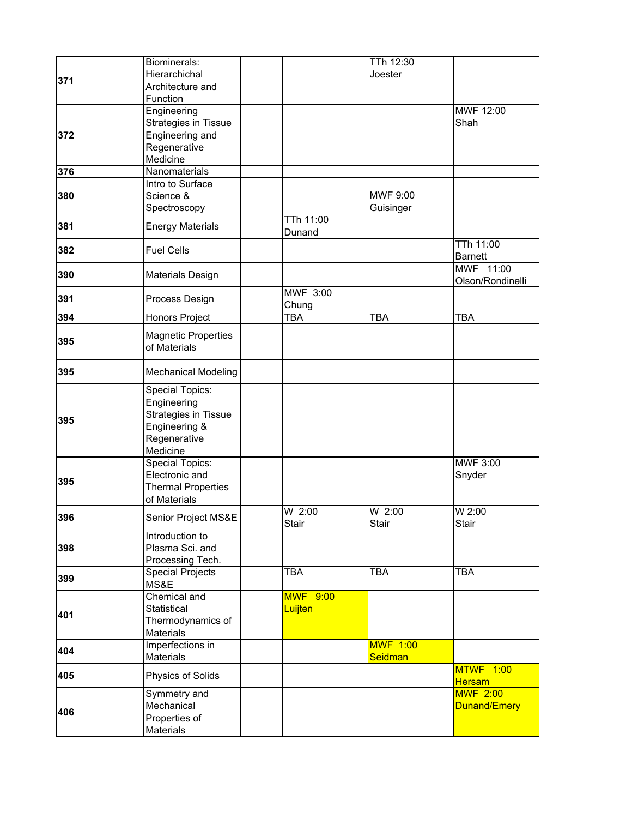| 371 | Biominerals:<br>Hierarchichal<br>Architecture and<br>Function                                       |                            | TTh 12:30<br>Joester       |                                   |
|-----|-----------------------------------------------------------------------------------------------------|----------------------------|----------------------------|-----------------------------------|
| 372 | Engineering<br><b>Strategies in Tissue</b><br>Engineering and<br>Regenerative<br>Medicine           |                            |                            | MWF 12:00<br>Shah                 |
| 376 | Nanomaterials                                                                                       |                            |                            |                                   |
| 380 | Intro to Surface<br>Science &<br>Spectroscopy                                                       |                            | MWF 9:00<br>Guisinger      |                                   |
| 381 | <b>Energy Materials</b>                                                                             | <b>TTh 11:00</b><br>Dunand |                            |                                   |
| 382 | <b>Fuel Cells</b>                                                                                   |                            |                            | TTh 11:00<br>Barnett              |
| 390 | <b>Materials Design</b>                                                                             |                            |                            | MWF 11:00<br>Olson/Rondinelli     |
| 391 | Process Design                                                                                      | <b>MWF 3:00</b><br>Chung   |                            |                                   |
| 394 | Honors Project                                                                                      | <b>TBA</b>                 | <b>TBA</b>                 | <b>TBA</b>                        |
| 395 | Magnetic Properties<br>of Materials                                                                 |                            |                            |                                   |
| 395 | <b>Mechanical Modeling</b>                                                                          |                            |                            |                                   |
| 395 | Special Topics:<br>Engineering<br>Strategies in Tissue<br>Engineering &<br>Regenerative<br>Medicine |                            |                            |                                   |
| 395 | <b>Special Topics:</b><br>Electronic and<br><b>Thermal Properties</b><br>of Materials               |                            |                            | <b>MWF 3:00</b><br>Snyder         |
| 396 | Senior Project MS&E                                                                                 | $W$ 2:00<br>Stair          | $W$ 2:00<br>Stair          | W 2:00<br>Stair                   |
| 398 | Introduction to<br>Plasma Sci. and<br>Processing Tech.                                              |                            |                            |                                   |
| 399 | <b>Special Projects</b><br>MS&E                                                                     | <b>TBA</b>                 | <b>TBA</b>                 | <b>TBA</b>                        |
| 401 | <b>Chemical and</b><br><b>Statistical</b><br>Thermodynamics of<br><b>Materials</b>                  | <b>MWF 9:00</b><br>Luijten |                            |                                   |
| 404 | Imperfections in<br><b>Materials</b>                                                                |                            | <b>MWF 1:00</b><br>Seidman |                                   |
| 405 | Physics of Solids                                                                                   |                            |                            | <b>MTWF 1:00</b><br><b>Hersam</b> |
| 406 | Symmetry and<br>Mechanical<br>Properties of<br>Materials                                            |                            |                            | <b>MWF 2:00</b><br>Dunand/Emery   |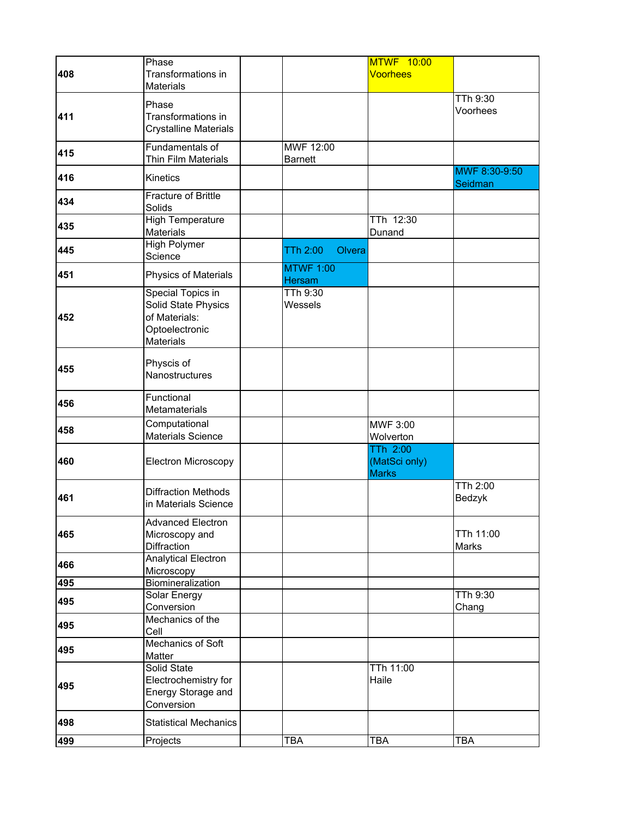|     | Phase                        |                    | MTWF 10:00      |                 |
|-----|------------------------------|--------------------|-----------------|-----------------|
| 408 | Transformations in           |                    | <b>Voorhees</b> |                 |
|     | <b>Materials</b>             |                    |                 |                 |
|     |                              |                    |                 | TTh 9:30        |
|     | Phase                        |                    |                 | Voorhees        |
| 411 | Transformations in           |                    |                 |                 |
|     | Crystalline Materials        |                    |                 |                 |
|     | Fundamentals of              | MWF 12:00          |                 |                 |
| 415 | Thin Film Materials          | <b>Barnett</b>     |                 |                 |
|     |                              |                    |                 | MWF 8:30-9:50   |
| 416 | Kinetics                     |                    |                 | Seidman         |
|     | <b>Fracture of Brittle</b>   |                    |                 |                 |
| 434 | Solids                       |                    |                 |                 |
| 435 | <b>High Temperature</b>      |                    | TTh 12:30       |                 |
|     | Materials                    |                    | Dunand          |                 |
| 445 | <b>High Polymer</b>          | TTh 2:00<br>Olvera |                 |                 |
|     | Science                      |                    |                 |                 |
| 451 | Physics of Materials         | <b>MTWF 1:00</b>   |                 |                 |
|     |                              | <b>Hersam</b>      |                 |                 |
|     | <b>Special Topics in</b>     | TTh 9:30           |                 |                 |
|     | Solid State Physics          | Wessels            |                 |                 |
| 452 | of Materials:                |                    |                 |                 |
|     | Optoelectronic               |                    |                 |                 |
|     | <b>Materials</b>             |                    |                 |                 |
|     | Physcis of                   |                    |                 |                 |
| 455 | Nanostructures               |                    |                 |                 |
|     |                              |                    |                 |                 |
|     | Functional                   |                    |                 |                 |
| 456 | Metamaterials                |                    |                 |                 |
|     | Computational                |                    | MWF 3:00        |                 |
| 458 | <b>Materials Science</b>     |                    | Wolverton       |                 |
|     |                              |                    | <b>TTh 2:00</b> |                 |
| 460 | <b>Electron Microscopy</b>   |                    | (MatSci only)   |                 |
|     |                              |                    | <b>Marks</b>    |                 |
|     |                              |                    |                 | <b>TTh 2:00</b> |
| 461 | <b>Diffraction Methods</b>   |                    |                 | Bedzyk          |
|     | in Materials Science         |                    |                 |                 |
|     | <b>Advanced Electron</b>     |                    |                 |                 |
| 465 | Microscopy and               |                    |                 | TTh 11:00       |
|     | Diffraction                  |                    |                 | <b>Marks</b>    |
| 466 | <b>Analytical Electron</b>   |                    |                 |                 |
|     | Microscopy                   |                    |                 |                 |
| 495 | Biomineralization            |                    |                 |                 |
| 495 | Solar Energy                 |                    |                 | TTh 9:30        |
|     | Conversion                   |                    |                 | Chang           |
| 495 | Mechanics of the             |                    |                 |                 |
|     | Cell                         |                    |                 |                 |
| 495 | Mechanics of Soft            |                    |                 |                 |
|     | Matter                       |                    |                 |                 |
|     | Solid State                  |                    | TTh 11:00       |                 |
| 495 | Electrochemistry for         |                    | Haile           |                 |
|     | Energy Storage and           |                    |                 |                 |
|     | Conversion                   |                    |                 |                 |
| 498 | <b>Statistical Mechanics</b> |                    |                 |                 |
| 499 | Projects                     | <b>TBA</b>         | <b>TBA</b>      | <b>TBA</b>      |
|     |                              |                    |                 |                 |